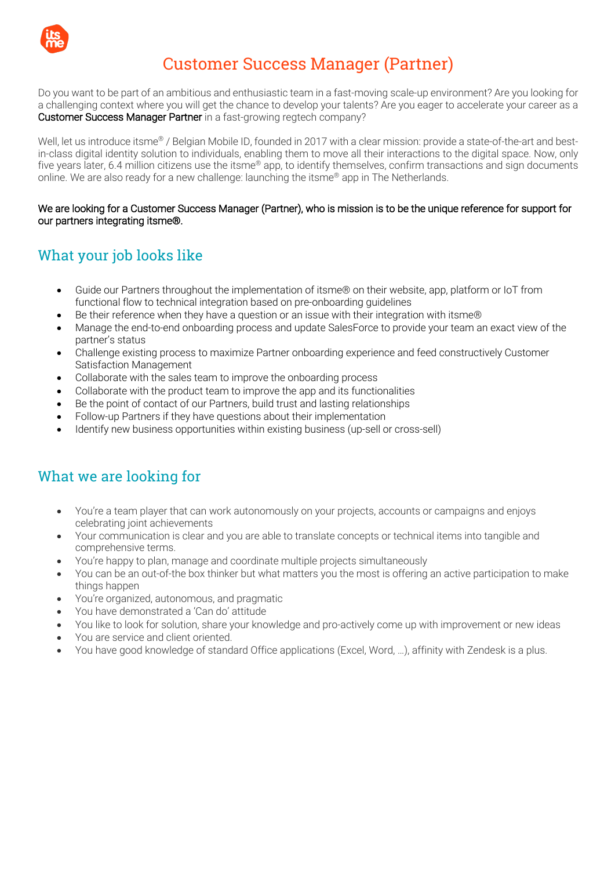

# Customer Success Manager (Partner)

Do you want to be part of an ambitious and enthusiastic team in a fast-moving scale-up environment? Are you looking for a challenging context where you will get the chance to develop your talents? Are you eager to accelerate your career as a Customer Success Manager Partner in a fast-growing regtech company?

Well, let us introduce itsme<sup>®</sup> / Belgian Mobile ID, founded in 2017 with a clear mission: provide a state-of-the-art and bestin-class digital identity solution to individuals, enabling them to move all their interactions to the digital space. Now, only five years later, 6.4 million citizens use the itsme® app, to identify themselves, confirm transactions and sign documents online. We are also ready for a new challenge: launching the itsme® app in The Netherlands.

#### We are looking for a Customer Success Manager (Partner), who is mission is to be the unique reference for support for our partners integrating itsme®.

# What your job looks like

- Guide our Partners throughout the implementation of itsme® on their website, app, platform or IoT from functional flow to technical integration based on pre-onboarding guidelines
- Be their reference when they have a question or an issue with their integration with itsme®
- Manage the end-to-end onboarding process and update SalesForce to provide your team an exact view of the partner's status
- Challenge existing process to maximize Partner onboarding experience and feed constructively Customer Satisfaction Management
- Collaborate with the sales team to improve the onboarding process
- Collaborate with the product team to improve the app and its functionalities
- Be the point of contact of our Partners, build trust and lasting relationships
- Follow-up Partners if they have questions about their implementation
- Identify new business opportunities within existing business (up-sell or cross-sell)

### What we are looking for

- You're a team player that can work autonomously on your projects, accounts or campaigns and enjoys celebrating joint achievements
- Your communication is clear and you are able to translate concepts or technical items into tangible and comprehensive terms.
- You're happy to plan, manage and coordinate multiple projects simultaneously
- You can be an out-of-the box thinker but what matters you the most is offering an active participation to make things happen
- You're organized, autonomous, and pragmatic
- You have demonstrated a 'Can do' attitude
- You like to look for solution, share your knowledge and pro-actively come up with improvement or new ideas
- You are service and client oriented.
- You have good knowledge of standard Office applications (Excel, Word, …), affinity with Zendesk is a plus.